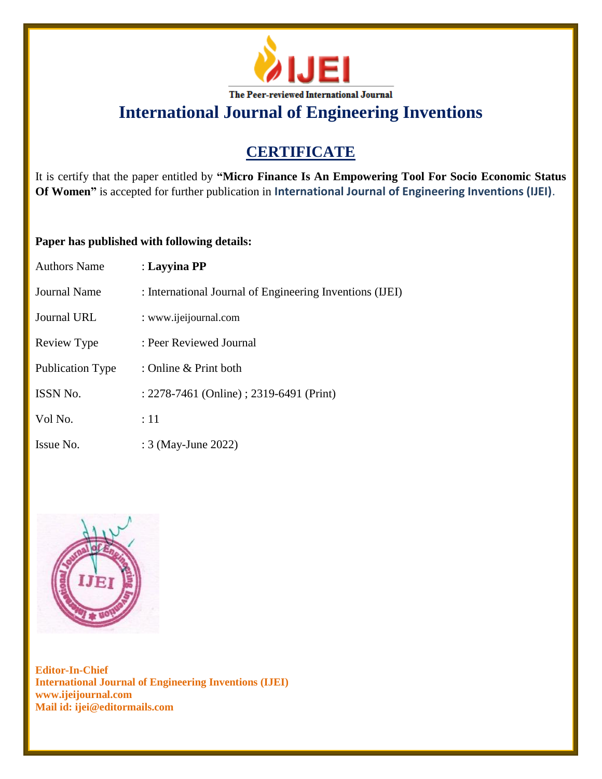

**International Journal of Engineering Inventions**

## **CERTIFICATE**

It is certify that the paper entitled by **"Micro Finance Is An Empowering Tool For Socio Economic Status Of Women"** is accepted for further publication in **International Journal of Engineering Inventions (IJEI)**.

## **Paper has published with following details:**

| <b>Authors Name</b> | : Layyina PP                                             |
|---------------------|----------------------------------------------------------|
| <b>Journal Name</b> | : International Journal of Engineering Inventions (IJEI) |
| Journal URL         | : www.ijeijournal.com                                    |
| Review Type         | : Peer Reviewed Journal                                  |
| Publication Type    | : Online & Print both                                    |
| <b>ISSN No.</b>     | : 2278-7461 (Online) ; 2319-6491 (Print)                 |
| Vol No.             | :11                                                      |
| Issue No.           | : 3 (May-June 2022)                                      |



**Editor-In-Chief International Journal of Engineering Inventions (IJEI) www.ijeijournal.com Mail id: ijei@editormails.com**